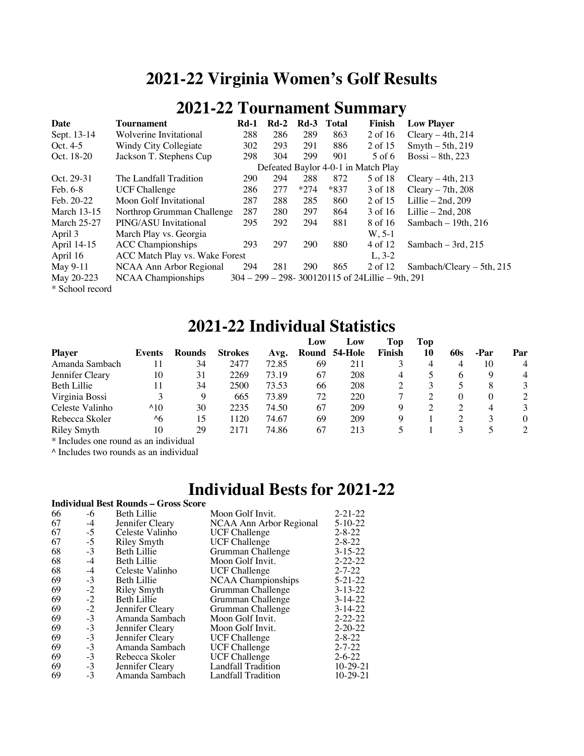## **2021-22 Virginia Women's Golf Results**

### **2021-22 Tournament Summary**

| Date               | <b>Tournament</b>              | <b>Rd-1</b> | $Rd-2$ | $Rd-3$     | Total  | Finish                                               | <b>Low Player</b>           |
|--------------------|--------------------------------|-------------|--------|------------|--------|------------------------------------------------------|-----------------------------|
| Sept. 13-14        | Wolverine Invitational         | 288         | 286    | 289        | 863    | 2 of 16                                              | Cleary $-4th$ , 214         |
| Oct. 4-5           | Windy City Collegiate          | 302         | 293    | 291        | 886    | 2 of 15                                              | $S$ myth $-5$ th, 219       |
| Oct. 18-20         | Jackson T. Stephens Cup        | 298         | 304    | 299        | 901    | 5 of 6                                               | Bossi – 8th, 223            |
|                    |                                |             |        |            |        | Defeated Baylor 4-0-1 in Match Play                  |                             |
| Oct. 29-31         | The Landfall Tradition         | 290         | 294    | 288        | 872    | 5 of 18                                              | Cleary $-4th$ , 213         |
| Feb. 6-8           | <b>UCF Challenge</b>           | 286         | 277    | $*274$     | $*837$ | 3 of 18                                              | Cleary $-7th$ , 208         |
| Feb. 20-22         | Moon Golf Invitational         | 287         | 288    | 285        | 860    | 2 of 15                                              | Lillie $-2nd$ , 209         |
| <b>March 13-15</b> | Northrop Grumman Challenge     | 287         | 280    | 297        | 864    | 3 of 16                                              | Lillie $-2nd$ , 208         |
| <b>March 25-27</b> | PING/ASU Invitational          | 295         | 292    | 294        | 881    | 8 of 16                                              | Sambach $-19th$ , 216       |
| April 3            | March Play vs. Georgia         |             |        |            |        | $W, 5-1$                                             |                             |
| April 14-15        | <b>ACC Championships</b>       | 293         | 297    | 290        | 880    | 4 of 12                                              | Sambach $-3rd$ , 215        |
| April 16           | ACC Match Play vs. Wake Forest |             |        |            |        | $L. 3-2$                                             |                             |
| May 9-11           | NCAA Ann Arbor Regional        | 294         | 281    | <b>290</b> | 865    | 2 of 12                                              | Sambach/Cleary $-$ 5th, 215 |
| May 20-223         | NCAA Championships             |             |        |            |        | $304 - 299 - 298 - 300120115$ of 24Lillie – 9th, 291 |                             |

\* School record

#### **2021-22 Individual Statistics**

|                    |               |               |                |       | Low | Low           | Top    | Top |          |      |                |
|--------------------|---------------|---------------|----------------|-------|-----|---------------|--------|-----|----------|------|----------------|
| <b>Player</b>      | Events        | <b>Rounds</b> | <b>Strokes</b> | Avg.  |     | Round 54-Hole | Finish | 10  | 60s      | -Par | Par            |
| Amanda Sambach     |               | 34            | 2477           | 72.85 | 69  | 211           |        | 4   | 4        | 10   | 4              |
| Jennifer Cleary    | 10            | 31            | 2269           | 73.19 | 67  | 208           | 4      |     | 6        | Q    | 4              |
| Beth Lillie        | 11            | 34            | 2500           | 73.53 | 66  | 208           |        |     |          | 8    | 3              |
| Virginia Bossi     |               | 9             | 665            | 73.89 | 72  | 220           |        |     | $\theta$ | 0    | $\overline{c}$ |
| Celeste Valinho    | $^{\wedge}10$ | 30            | 2235           | 74.50 | 67  | 209           | Q      |     |          |      | 3              |
| Rebecca Skoler     | $^{\wedge}6$  | 15            | 120            | 74.67 | 69  | 209           | Q      |     |          |      |                |
| <b>Riley Smyth</b> | 10            | 29            | 2171           | 74.86 | 67  | 213           |        |     |          |      | $\mathfrak{D}$ |

\* Includes one round as an individual

^ Includes two rounds as an individual

### **Individual Bests for 2021-22**

|    |      | <b>Individual Best Rounds - Gross Score</b> |                           |               |
|----|------|---------------------------------------------|---------------------------|---------------|
| 66 | -6   | <b>Beth Lillie</b>                          | Moon Golf Invit.          | $2 - 21 - 22$ |
| 67 | $-4$ | Jennifer Cleary                             | NCAA Ann Arbor Regional   | $5 - 10 - 22$ |
| 67 | $-5$ | Celeste Valinho                             | <b>UCF Challenge</b>      | $2 - 8 - 22$  |
| 67 | $-5$ | <b>Riley Smyth</b>                          | <b>UCF Challenge</b>      | $2 - 8 - 22$  |
| 68 | $-3$ | <b>Beth Lillie</b>                          | Grumman Challenge         | $3 - 15 - 22$ |
| 68 | $-4$ | <b>Beth Lillie</b>                          | Moon Golf Invit.          | $2 - 22 - 22$ |
| 68 | $-4$ | Celeste Valinho                             | <b>UCF Challenge</b>      | $2 - 7 - 22$  |
| 69 | $-3$ | <b>Beth Lillie</b>                          | NCAA Championships        | $5 - 21 - 22$ |
| 69 | $-2$ | Riley Smyth                                 | Grumman Challenge         | $3 - 13 - 22$ |
| 69 | $-2$ | <b>Beth Lillie</b>                          | Grumman Challenge         | $3-14-22$     |
| 69 | $-2$ | Jennifer Cleary                             | Grumman Challenge         | $3-14-22$     |
| 69 | $-3$ | Amanda Sambach                              | Moon Golf Invit.          | $2 - 22 - 22$ |
| 69 | $-3$ | Jennifer Cleary                             | Moon Golf Invit.          | $2 - 20 - 22$ |
| 69 | $-3$ | Jennifer Cleary                             | <b>UCF Challenge</b>      | $2 - 8 - 22$  |
| 69 | $-3$ | Amanda Sambach                              | <b>UCF Challenge</b>      | $2 - 7 - 22$  |
| 69 | $-3$ | Rebecca Skoler                              | <b>UCF Challenge</b>      | $2 - 6 - 22$  |
| 69 | $-3$ | Jennifer Cleary                             | <b>Landfall Tradition</b> | $10-29-21$    |
| 69 | $-3$ | Amanda Sambach                              | Landfall Tradition        | $10-29-21$    |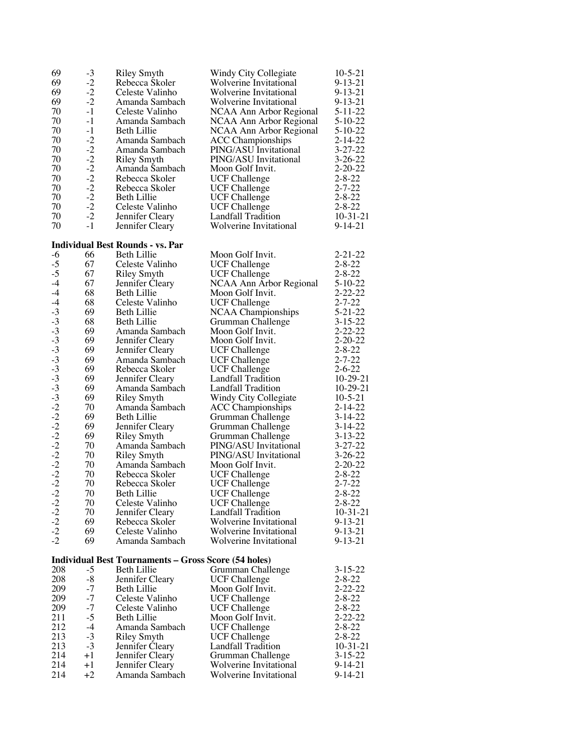| 69                                   | $-3$                                         | <b>Riley Smyth</b>                                          | Windy City Collegiate     | $10-5-21$     |
|--------------------------------------|----------------------------------------------|-------------------------------------------------------------|---------------------------|---------------|
| 69                                   | $-2$                                         | Rebecca Skoler                                              | Wolverine Invitational    | $9 - 13 - 21$ |
| 69                                   | $-2$                                         | Celeste Valinho                                             | Wolverine Invitational    | $9 - 13 - 21$ |
| 69                                   | $-2$                                         | Amanda Sambach                                              | Wolverine Invitational    | $9 - 13 - 21$ |
| 70                                   | $-1$                                         | Celeste Valinho                                             | NCAA Ann Arbor Regional   | $5 - 11 - 22$ |
| 70                                   | $-1$                                         | Amanda Sambach                                              | NCAA Ann Arbor Regional   | $5-10-22$     |
| 70                                   | $-1$                                         | <b>Beth Lillie</b>                                          | NCAA Ann Arbor Regional   | $5 - 10 - 22$ |
| 70                                   | $-2$                                         | Amanda Sambach                                              | <b>ACC</b> Championships  | $2 - 14 - 22$ |
| 70                                   |                                              | Amanda Sambach                                              | PING/ASU Invitational     | $3 - 27 - 22$ |
| 70                                   |                                              | <b>Riley Smyth</b>                                          | PING/ASU Invitational     | $3 - 26 - 22$ |
| 70                                   |                                              | Amanda Sambach                                              | Moon Golf Invit.          | $2 - 20 - 22$ |
| 70                                   |                                              | Rebecca Skoler                                              | <b>UCF Challenge</b>      | $2 - 8 - 22$  |
| 70                                   | $-2$<br>$-2$<br>$-2$<br>$-2$<br>$-2$<br>$-2$ | Rebecca Skoler                                              | <b>UCF Challenge</b>      | $2 - 7 - 22$  |
| 70                                   |                                              | Beth Lillie                                                 | <b>UCF Challenge</b>      | $2 - 8 - 22$  |
| 70                                   | $-2$                                         | Celeste Valinho                                             | <b>UCF Challenge</b>      | $2 - 8 - 22$  |
| 70                                   | $-2$                                         | Jennifer Cleary                                             | Landfall Tradition        | $10-31-21$    |
| 70                                   | $-1$                                         | Jennifer Cleary                                             | Wolverine Invitational    | $9 - 14 - 21$ |
|                                      |                                              |                                                             |                           |               |
|                                      |                                              | <b>Individual Best Rounds - vs. Par</b>                     |                           |               |
| $-6$                                 | 66                                           | <b>Beth Lillie</b>                                          | Moon Golf Invit.          | $2 - 21 - 22$ |
| $-5$                                 | 67                                           | Celeste Valinho                                             | <b>UCF Challenge</b>      | $2 - 8 - 22$  |
| $-5$                                 | 67                                           | <b>Riley Smyth</b>                                          | <b>UCF Challenge</b>      | $2 - 8 - 22$  |
| $-4$                                 | 67                                           | Jennifer Cleary                                             | NCAA Ann Arbor Regional   | $5 - 10 - 22$ |
| $-4$                                 | 68                                           | Beth Lillie                                                 | Moon Golf Invit.          | $2 - 22 - 22$ |
| $-4$                                 | 68                                           | Celeste Valinho                                             | <b>UCF Challenge</b>      | $2 - 7 - 22$  |
|                                      | 69                                           | Beth Lillie                                                 | NCAA Championships        | $5 - 21 - 22$ |
|                                      | 68                                           | Beth Lillie                                                 | Grumman Challenge         | $3 - 15 - 22$ |
|                                      | 69                                           | Amanda Sambach                                              | Moon Golf Invit.          | $2 - 22 - 22$ |
|                                      | 69                                           | Jennifer Cleary                                             | Moon Golf Invit.          | $2 - 20 - 22$ |
|                                      | 69                                           | Jennifer Cleary                                             | <b>UCF Challenge</b>      | $2 - 8 - 22$  |
|                                      | 69                                           | Amanda Sambach                                              | <b>UCF Challenge</b>      | $2 - 7 - 22$  |
|                                      | 69                                           | Rebecca Skoler                                              | <b>UCF Challenge</b>      | $2 - 6 - 22$  |
|                                      | 69                                           | Jennifer Cleary                                             | Landfall Tradition        | $10-29-21$    |
|                                      | 69                                           | Amanda Sambach                                              | Landfall Tradition        | $10-29-21$    |
|                                      | 69                                           | <b>Riley Smyth</b>                                          | Windy City Collegiate     | $10 - 5 - 21$ |
|                                      | 70                                           | Amanda Sambach                                              | <b>ACC</b> Championships  | $2 - 14 - 22$ |
|                                      | 69                                           | <b>Beth Lillie</b>                                          | Grumman Challenge         | $3 - 14 - 22$ |
|                                      | 69                                           | Jennifer Cleary                                             | Grumman Challenge         | $3 - 14 - 22$ |
|                                      | 69                                           | <b>Riley Smyth</b>                                          | Grumman Challenge         | $3 - 13 - 22$ |
|                                      | 70                                           | Amanda Sambach                                              | PING/ASU Invitational     | $3 - 27 - 22$ |
|                                      | 70                                           | <b>Riley Smyth</b>                                          | PING/ASU Invitational     | $3 - 26 - 22$ |
|                                      | 70                                           | Amanda Sambach                                              | Moon Golf Invit.          | $2 - 20 - 22$ |
|                                      | 70                                           | Rebecca Skoler                                              | <b>UCF Challenge</b>      | $2 - 8 - 22$  |
|                                      | 70                                           | Rebecca Skoler                                              | <b>UCF Challenge</b>      | $2 - 7 - 22$  |
| $-2$                                 | 70                                           | Beth Lillie                                                 | <b>UCF Challenge</b>      | $2 - 8 - 22$  |
|                                      | 70                                           | Celeste Valinho                                             | <b>UCF</b> Challenge      | $2 - 8 - 22$  |
| $-2$<br>$-2$<br>$-2$<br>$-2$<br>$-2$ | 70                                           | Jennifer Cleary                                             | Landfall Tradition        | $10-31-21$    |
|                                      | 69                                           | Rebecca Skoler                                              | Wolverine Invitational    | $9 - 13 - 21$ |
|                                      | 69                                           | Celeste Valinho                                             | Wolverine Invitational    | $9 - 13 - 21$ |
|                                      | 69                                           | Amanda Sambach                                              | Wolverine Invitational    | $9 - 13 - 21$ |
|                                      |                                              |                                                             |                           |               |
|                                      |                                              | <b>Individual Best Tournaments - Gross Score (54 holes)</b> |                           |               |
| 208                                  | $-5$                                         | <b>Beth Lillie</b>                                          | Grumman Challenge         | $3 - 15 - 22$ |
| 208                                  | $-8$                                         | Jennifer Cleary                                             | <b>UCF Challenge</b>      | $2 - 8 - 22$  |
| 209                                  | $-7$                                         | Beth Lillie                                                 | Moon Golf Invit.          | $2 - 22 - 22$ |
| 209                                  | $-7$                                         | Celeste Valinho                                             | <b>UCF Challenge</b>      | $2 - 8 - 22$  |
| 209                                  | $-7$                                         | Celeste Valinho                                             | <b>UCF Challenge</b>      | $2 - 8 - 22$  |
| 211                                  | $-5$                                         | Beth Lillie                                                 | Moon Golf Invit.          | $2 - 22 - 22$ |
| 212                                  | $-4$                                         | Amanda Sambach                                              | <b>UCF Challenge</b>      | $2 - 8 - 22$  |
| 213                                  | $-3$                                         | <b>Riley Smyth</b>                                          | <b>UCF Challenge</b>      | $2 - 8 - 22$  |
| 213                                  | $-3$                                         | Jennifer Cleary                                             | <b>Landfall Tradition</b> | $10-31-21$    |
| 214                                  | $+1$                                         | Jennifer Cleary                                             | Grumman Challenge         | $3 - 15 - 22$ |
| 214                                  | $+1$                                         | Jennifer Cleary                                             | Wolverine Invitational    | 9-14-21       |
| 214                                  | $+2$                                         | Amanda Sambach                                              | Wolverine Invitational    | 9-14-21       |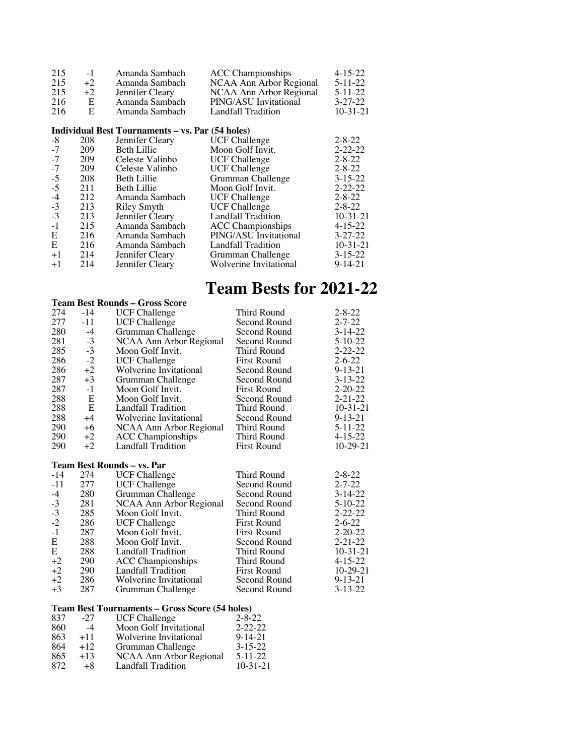| 215<br>215 | $-1$<br>$+2$ | Amanda Sambach<br>Amanda Sambach                 | <b>ACC</b> Championships<br>NCAA Ann Arbor Regional | $4 - 15 - 22$<br>$5 - 11 - 22$ |
|------------|--------------|--------------------------------------------------|-----------------------------------------------------|--------------------------------|
| 215        | $+2$         | Jennifer Cleary                                  | NCAA Ann Arbor Regional                             | $5 - 11 - 22$                  |
| 216        | Е            | Amanda Sambach                                   | PING/ASU Invitational                               | $3 - 27 - 22$                  |
| 216        | E            | Amanda Sambach                                   | Landfall Tradition                                  | $10-31-21$                     |
|            |              | Individual Best Tournaments – vs. Par (54 holes) |                                                     |                                |
| -8         | 208          | Jennifer Cleary                                  | <b>UCF Challenge</b>                                | $2 - 8 - 22$                   |
| $-7$       | 209          | Beth Lillie                                      | Moon Golf Invit.                                    | $2 - 22 - 22$                  |
| $-7$       | 209          | Celeste Valinho                                  | <b>UCF Challenge</b>                                | $2 - 8 - 22$                   |
| $-7$       | 209          | Celeste Valinho                                  | <b>UCF Challenge</b>                                | $2 - 8 - 22$                   |
| $-5$       | 208          | <b>Beth Lillie</b>                               | Grumman Challenge                                   | $3 - 15 - 22$                  |
| $-5$       | 211          | <b>Beth Lillie</b>                               | Moon Golf Invit.                                    | $2 - 22 - 22$                  |
| $-4$       | 212          | Amanda Sambach                                   | <b>UCF Challenge</b>                                | $2 - 8 - 22$                   |
| $-3$       | 213          | <b>Riley Smyth</b>                               | <b>UCF</b> Challenge                                | $2 - 8 - 22$                   |
| $-3$       | 213          | Jennifer Cleary                                  | <b>Landfall Tradition</b>                           | $10 - 31 - 21$                 |
| $-1$       | 215          | Amanda Sambach                                   | <b>ACC</b> Championships                            | $4 - 15 - 22$                  |
| Ε          | 216          | Amanda Sambach                                   | PING/ASU Invitational                               | $3 - 27 - 22$                  |
| E          | 216          | Amanda Sambach                                   | Landfall Tradition                                  | $10 - 31 - 21$                 |
| $+1$       | 214          | Jennifer Cleary                                  | Grumman Challenge                                   | $3 - 15 - 22$                  |
| $+1$       | 214          | Jennifer Cleary                                  | Wolverine Invitational                              | $9 - 14 - 21$                  |

# **Team Bests for 2021-22**

|       |       | <b>Team Best Rounds – Gross Score</b> |                    |               |
|-------|-------|---------------------------------------|--------------------|---------------|
| 274   | $-14$ | <b>UCF Challenge</b>                  | Third Round        | $2 - 8 - 22$  |
| 277   | -11   | <b>UCF Challenge</b>                  | Second Round       | $2 - 7 - 22$  |
| 280   | $-4$  | Grumman Challenge                     | Second Round       | $3 - 14 - 22$ |
| 281   | $-3$  | NCAA Ann Arbor Regional               | Second Round       | $5 - 10 - 22$ |
| 285   | $-3$  | Moon Golf Invit.                      | Third Round        | $2 - 22 - 22$ |
| 286   | $-2$  | <b>UCF</b> Challenge                  | <b>First Round</b> | $2 - 6 - 22$  |
| 286   | $+2$  | Wolverine Invitational                | Second Round       | $9 - 13 - 21$ |
| 287   | $+3$  | Grumman Challenge                     | Second Round       | $3 - 13 - 22$ |
| 287   | $-1$  | Moon Golf Invit.                      | <b>First Round</b> | $2 - 20 - 22$ |
| 288   | E     | Moon Golf Invit.                      | Second Round       | $2 - 21 - 22$ |
| 288   | E     | Landfall Tradition                    | Third Round        | $10-31-21$    |
| 288   | $+4$  | Wolverine Invitational                | Second Round       | $9 - 13 - 21$ |
| 290   | $+6$  | NCAA Ann Arbor Regional               | Third Round        | $5 - 11 - 22$ |
| 290   | $+2$  | <b>ACC</b> Championships              | Third Round        | $4 - 15 - 22$ |
| 290   | $+2$  | Landfall Tradition                    | <b>First Round</b> | $10-29-21$    |
|       |       | Team Best Rounds - vs. Par            |                    |               |
| $-14$ | 274   | <b>UCF Challenge</b>                  | Third Round        | $2 - 8 - 22$  |
| $-11$ | 277   | <b>UCF Challenge</b>                  | Second Round       | $2 - 7 - 22$  |
| $-4$  | 280   | Grumman Challenge                     | Second Round       | $3-14-22$     |
| $-3$  | 281   | NCAA Ann Arbor Regional               | Second Round       | $5 - 10 - 22$ |
| $-3$  | 285   | Moon Golf Invit.                      | Third Round        | $2 - 22 - 22$ |
| $-2$  | 286   | <b>UCF Challenge</b>                  | <b>First Round</b> | $2 - 6 - 22$  |
| $-1$  | 287   | Moon Golf Invit.                      | <b>First Round</b> | $2 - 20 - 22$ |
| E     | 288   | Moon Golf Invit.                      | Second Round       | $2 - 21 - 22$ |
| E     | 288   | Landfall Tradition                    | Third Round        | $10-31-21$    |
| $+2$  | 290   | <b>ACC Championships</b>              | Third Round        | $4 - 15 - 22$ |
| $+2$  | 290   | <b>Landfall Tradition</b>             | <b>First Round</b> | $10-29-21$    |
| $+2$  | 286   | Wolverine Invitational                | Second Round       | $9 - 13 - 21$ |
| $+3$  | 287   | Grumman Challenge                     | Second Round       | $3 - 13 - 22$ |

#### **Team Best Tournaments – Gross Score (54 holes)**

| 837 | $-27$ | <b>UCF Challenge</b>      | $2 - 8 - 22$   |
|-----|-------|---------------------------|----------------|
| 860 | $-4$  | Moon Golf Invitational    | $2 - 22 - 22$  |
| 863 | $+11$ | Wolverine Invitational    | $9 - 14 - 21$  |
| 864 | $+12$ | Grumman Challenge         | $3 - 15 - 22$  |
| 865 | $+13$ | NCAA Ann Arbor Regional   | $5 - 11 - 22$  |
| 872 | $+8$  | <b>Landfall Tradition</b> | $10 - 31 - 21$ |